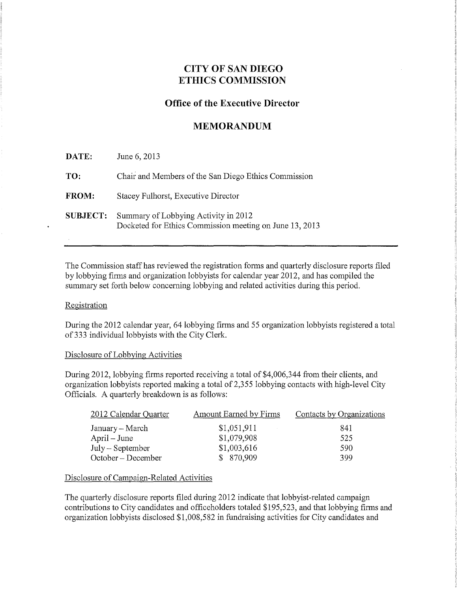# **CITY OF SAN DIEGO ETHICS COMMISSION**

## **Office of the Executive Director**

## **MEMORANDUM**

| DATE:           | June 6, 2013                                                                                    |
|-----------------|-------------------------------------------------------------------------------------------------|
| TO:             | Chair and Members of the San Diego Ethics Commission                                            |
| <b>FROM:</b>    | Stacey Fulhorst, Executive Director                                                             |
| <b>SUBJECT:</b> | Summary of Lobbying Activity in 2012<br>Docketed for Ethics Commission meeting on June 13, 2013 |

The Commission staff has reviewed the registration forms and quarterly disclosure reports filed by lobbying firms and organization lobbyists for calendar year 2012, and has compiled the summary set forth below concerning lobbying and related activities during this period.

#### Registration

During the 2012 calendar year, 64 lobbying firms and 55 organization lobbyists registered a total of 333 individual lobbyists with the City Clerk.

#### Disclosure of Lobbying Activities

During 2012, lobbying firms reported receiving a total of \$4,006,344 from their clients, and organization lobbyists reported making a total of 2,355 lobbying contacts with high-level City Officials. A quarterly breakdown is as follows:

| 2012 Calendar Quarter | <b>Amount Earned by Firms</b> | Contacts by Organizations |
|-----------------------|-------------------------------|---------------------------|
| January – March       | \$1,051,911                   | 841                       |
| April – June          | \$1,079,908                   | 525                       |
| $July - September$    | \$1,003,616                   | 590                       |
| $October - December$  | \$870,909                     | 399                       |

#### Disclosure of Campaign-Related Activities

The quarterly disclosure reports filed during 2012 indicate that lobbyist-related campaign contributions to City candidates and officeholders totaled \$195,523, and that lobbying firms and organization lobbyists disclosed \$1,008,582 in fundraising activities for City candidates and